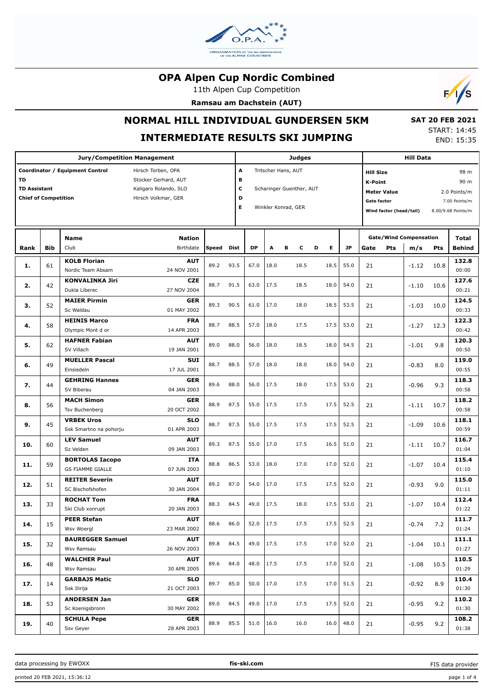

11th Alpen Cup Competition

**Ramsau am Dachstein (AUT)**



# **NORMAL HILL INDIVIDUAL GUNDERSEN 5KM**

# **INTERMEDIATE RESULTS SKI JUMPING**

 **SAT 20 FEB 2021** START: 14:45 END: 15:35

|                                                                                                                                                                                           |            | <b>Jury/Competition Management</b>                |                            |              |                       |           | Judges |                                                                        | <b>Hill Data</b> |                                                                                                           |                                                                     |         |      |                        |
|-------------------------------------------------------------------------------------------------------------------------------------------------------------------------------------------|------------|---------------------------------------------------|----------------------------|--------------|-----------------------|-----------|--------|------------------------------------------------------------------------|------------------|-----------------------------------------------------------------------------------------------------------|---------------------------------------------------------------------|---------|------|------------------------|
| Coordinator / Equipment Control<br>Hirsch Torben, OPA<br>TD<br>Stocker Gerhard, AUT<br><b>TD Assistant</b><br>Kaligaro Rolando, SLO<br><b>Chief of Competition</b><br>Hirsch Volkmar, GER |            |                                                   |                            |              | A<br>в<br>с<br>D<br>Е |           |        | Tritscher Hans, AUT<br>Scharinger Guenther, AUT<br>Winkler Konrad, GER |                  | <b>Hill Size</b><br><b>K-Point</b><br><b>Meter Value</b><br><b>Gate factor</b><br>Wind factor (head/tail) | 98 m<br>90 m<br>2.0 Points/m<br>7.00 Points/m<br>8.00/9.68 Points/m |         |      |                        |
| Rank                                                                                                                                                                                      | <b>Bib</b> | <b>Name</b><br>Club                               | <b>Nation</b><br>Birthdate | <b>Speed</b> | Dist                  | <b>DP</b> | А      | в<br>c                                                                 | Е<br>D           | <b>JP</b>                                                                                                 | <b>Gate/Wind Compensation</b><br>Pts<br>Gate                        | m/s     | Pts  | Total<br><b>Behind</b> |
| 1.                                                                                                                                                                                        | 61         | <b>KOLB Florian</b><br>Nordic Team Absam          | AUT<br>24 NOV 2001         | 89.2         | 93.5                  | 67.0      | 18.0   | 18.5                                                                   | 18.5             | 55.0                                                                                                      | 21                                                                  | $-1.12$ | 10.8 | 132.8<br>00:00         |
| 2.                                                                                                                                                                                        | 42         | <b>KONVALINKA Jiri</b><br>Dukla Liberec           | <b>CZE</b><br>27 NOV 2004  | 88.7         | 91.5                  | 63.0      | 17.5   | 18.5                                                                   | 18.0             | 54.0                                                                                                      | 21                                                                  | $-1.10$ | 10.6 | 127.6<br>00:21         |
| з.                                                                                                                                                                                        | 52         | <b>MAIER Pirmin</b><br>Sc Waldau                  | <b>GER</b><br>01 MAY 2002  | 89.3         | 90.5                  | 61.0      | 17.0   | 18.0                                                                   | 18.5             | 53.5                                                                                                      | 21                                                                  | $-1.03$ | 10.0 | 124.5<br>00:33         |
| 4.                                                                                                                                                                                        | 58         | <b>HEINIS Marco</b><br>Olympic Mont d or          | <b>FRA</b><br>14 APR 2003  | 88.7         | 88.5                  | 57.0      | 18.0   | 17.5                                                                   | 17.5             | 53.0                                                                                                      | 21                                                                  | $-1.27$ | 12.3 | 122.3<br>00:42         |
| 5.                                                                                                                                                                                        | 62         | <b>HAFNER Fabian</b><br>SV Villach                | AUT<br>19 JAN 2001         | 89.0         | 88.0                  | 56.0      | 18.0   | 18.5                                                                   | 18.0             | 54.5                                                                                                      | 21                                                                  | $-1.01$ | 9.8  | 120.3<br>00:50         |
| 6.                                                                                                                                                                                        | 49         | <b>MUELLER Pascal</b><br>Einsiedeln               | <b>SUI</b><br>17 JUL 2001  | 88.7         | 88.5                  | 57.0      | 18.0   | 18.0                                                                   | 18.0             | 54.0                                                                                                      | 21                                                                  | $-0.83$ | 8.0  | 119.0<br>00:55         |
| 7.                                                                                                                                                                                        | 44         | <b>GEHRING Hannes</b><br>SV Biberau               | <b>GER</b><br>04 JAN 2003  | 89.6         | 88.0                  | 56.0      | 17.5   | 18.0                                                                   | 17.5             | 53.0                                                                                                      | 21                                                                  | $-0.96$ | 9.3  | 118.3<br>00:58         |
| 8.                                                                                                                                                                                        | 56         | <b>MACH Simon</b><br>Tsv Buchenberg               | <b>GER</b><br>20 OCT 2002  | 88.9         | 87.5                  | 55.0      | 17.5   | 17.5                                                                   | 17.5             | 52.5                                                                                                      | 21                                                                  | $-1.11$ | 10.7 | 118.2<br>00:58         |
| 9.                                                                                                                                                                                        | 45         | <b>VRBEK Uros</b><br>Ssk Smartno na pohorju       | <b>SLO</b><br>01 APR 2003  | 88.7         | 87.5                  | 55.0      | 17.5   | 17.5                                                                   | 17.5             | 52.5                                                                                                      | 21                                                                  | $-1.09$ | 10.6 | 118.1<br>00:59         |
| 10.                                                                                                                                                                                       | 60         | <b>LEV Samuel</b><br>Sz Velden                    | AUT<br>09 JAN 2003         | 89.3         | 87.5                  | 55.0      | 17.0   | 17.5                                                                   | 16.5             | 51.0                                                                                                      | 21                                                                  | $-1.11$ | 10.7 | 116.7<br>01:04         |
| 11.                                                                                                                                                                                       | 59         | <b>BORTOLAS Iacopo</b><br><b>GS FIAMME GIALLE</b> | <b>ITA</b><br>07 JUN 2003  | 88.8         | 86.5                  | 53.0      | 18.0   | 17.0                                                                   | 17.0             | 52.0                                                                                                      | 21                                                                  | $-1.07$ | 10.4 | 115.4<br>01:10         |
| 12.                                                                                                                                                                                       | 51         | <b>REITER Severin</b><br>SC Bischofshofen         | AUT<br>30 JAN 2004         | 89.2         | 87.0                  | 54.0      | 17.0   | 17.5                                                                   | 17.5             | 52.0                                                                                                      | 21                                                                  | $-0.93$ | 9.0  | 115.0<br>01:11         |
| 13.                                                                                                                                                                                       | 33         | <b>ROCHAT Tom</b><br>Ski Club xonrupt             | <b>FRA</b><br>20 JAN 2003  | 88.3         | 84.5                  | 49.0      | 17.5   | 18.0                                                                   | 17.5             | 53.0                                                                                                      | 21                                                                  | $-1.07$ | 10.4 | 112.4<br>01:22         |
| 14.                                                                                                                                                                                       | 15         | <b>PEER Stefan</b><br>Wsv Woergl                  | AUT<br>23 MAR 2002         | 88.6         | 86.0                  | 52.0      | 17.5   | 17.5                                                                   |                  | $17.5$ 52.5                                                                                               | 21                                                                  | $-0.74$ | 7.2  | 111.7<br>01:24         |
| 15.                                                                                                                                                                                       | 32         | <b>BAUREGGER Samuel</b><br>Wsv Ramsau             | <b>AUT</b><br>26 NOV 2003  | 89.8         | 84.5                  | 49.0      | 17.5   | 17.5                                                                   | 17.0             | 52.0                                                                                                      | 21                                                                  | $-1.04$ | 10.1 | 111.1<br>01:27         |
| 16.                                                                                                                                                                                       | 48         | <b>WALCHER Paul</b><br>Wsv Ramsau                 | <b>AUT</b><br>30 APR 2005  | 89.6         | 84.0                  | 48.0      | 17.5   | 17.5                                                                   | 17.0             | 52.0                                                                                                      | 21                                                                  | $-1.08$ | 10.5 | 110.5<br>01:29         |
| 17.                                                                                                                                                                                       | 14         | <b>GARBAJS Matic</b><br>Ssk Ilirija               | <b>SLO</b><br>21 OCT 2003  | 89.7         | 85.0                  | 50.0      | 17.0   | 17.5                                                                   | 17.0             | 51.5                                                                                                      | 21                                                                  | $-0.92$ | 8.9  | 110.4<br>01:30         |
| 18.                                                                                                                                                                                       | 53         | <b>ANDERSEN Jan</b><br>Sc Koenigsbronn            | <b>GER</b><br>30 MAY 2002  | 89.0         | 84.5                  | 49.0      | 17.0   | 17.5                                                                   | 17.5             | 52.0                                                                                                      | 21                                                                  | $-0.95$ | 9.2  | 110.2<br>01:30         |
| 19.                                                                                                                                                                                       | 40         | <b>SCHULA Pepe</b><br>Ssv Geyer                   | <b>GER</b><br>28 APR 2003  | 88.9         | 85.5                  | 51.0      | 16.0   | 16.0                                                                   | 16.0             | 48.0                                                                                                      | 21                                                                  | $-0.95$ | 9.2  | 108.2<br>01:38         |

FIS data provider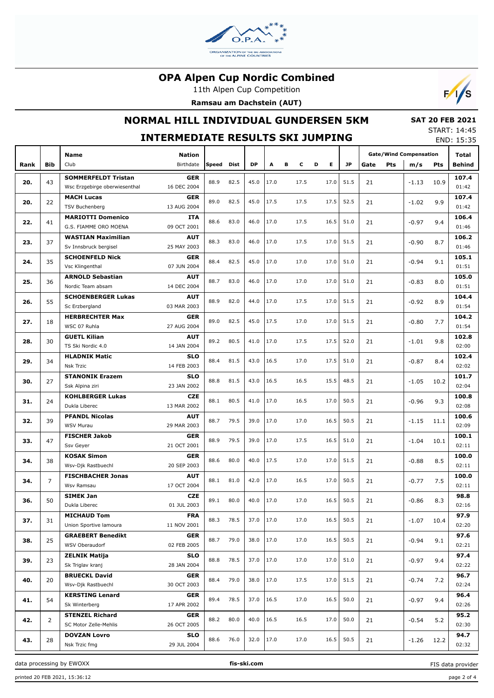

11th Alpen Cup Competition

**Ramsau am Dachstein (AUT)**



## **NORMAL HILL INDIVIDUAL GUNDERSEN 5KM**

 **SAT 20 FEB 2021** START: 14:45

| JIANI. 17.7J<br><b>INTERMEDIATE RESULTS SKI JUMPING</b><br>END: 15:35 |                |                                                    |                           |       |                                                    |           |         |        |       |        |           |      |     |                               |      |                |
|-----------------------------------------------------------------------|----------------|----------------------------------------------------|---------------------------|-------|----------------------------------------------------|-----------|---------|--------|-------|--------|-----------|------|-----|-------------------------------|------|----------------|
|                                                                       |                | Name                                               | <b>Nation</b>             |       |                                                    |           |         |        |       |        |           |      |     | <b>Gate/Wind Compensation</b> |      | Total          |
| Rank                                                                  | <b>Bib</b>     | Club                                               | Birthdate                 | Speed | <b>Dist</b>                                        | <b>DP</b> | Α       | в<br>c |       | Е<br>D | <b>JP</b> | Gate | Pts | m/s                           | Pts  | Behind         |
| 20.                                                                   | 43             | <b>SOMMERFELDT Tristan</b>                         | <b>GER</b>                | 88.9  | 82.5                                               | 45.0      | 17.0    | 17.5   |       | 17.0   | 51.5      | 21   |     | $-1.13$                       | 10.9 | 107.4          |
|                                                                       |                | Wsc Erzgebirge oberwiesenthal<br><b>MACH Lucas</b> | 16 DEC 2004<br><b>GER</b> |       |                                                    |           |         |        |       |        |           |      |     |                               |      | 01:42<br>107.4 |
| 20.                                                                   | 22             | <b>TSV Buchenberg</b>                              | 13 AUG 2004               | 89.0  | 82.5                                               | 45.0      | 17.5    | 17.5   |       | 17.5   | 52.5      | 21   |     | $-1.02$                       | 9.9  | 01:42          |
|                                                                       |                | <b>MARIOTTI Domenico</b>                           | <b>ITA</b>                |       |                                                    |           |         |        |       |        |           |      |     |                               |      | 106.4          |
| 22.                                                                   | 41             | G.S. FIAMME ORO MOENA                              | 09 OCT 2001               | 88.6  | 83.0                                               | 46.0      | 17.0    | 17.5   |       | 16.5   | 51.0      | 21   |     | $-0.97$                       | 9.4  | 01:46          |
| 23.                                                                   | 37             | <b>WASTIAN Maximilian</b>                          | <b>AUT</b>                | 88.3  | 83.0                                               | 46.0      | 17.0    | 17.5   |       | 17.0   | 51.5      | 21   |     | $-0.90$                       | 8.7  | 106.2          |
|                                                                       |                | Sv Innsbruck bergisel                              | 25 MAY 2003               |       |                                                    |           |         |        |       |        |           |      |     |                               |      | 01:46          |
| 24.                                                                   | 35             | <b>SCHOENFELD Nick</b>                             | <b>GER</b>                | 88.4  | 82.5                                               | 45.0      | 17.0    | 17.0   |       | 17.0   | 51.0      | 21   |     | $-0.94$                       | 9.1  | 105.1          |
|                                                                       |                | Vsc Klingenthal<br><b>ARNOLD Sebastian</b>         | 07 JUN 2004               |       |                                                    |           |         |        |       |        |           |      |     |                               |      | 01:51<br>105.0 |
| 25.                                                                   | 36             | Nordic Team absam                                  | <b>AUT</b><br>14 DEC 2004 | 88.7  | 83.0                                               | 46.0      | 17.0    | 17.0   |       | 17.0   | 51.0      | 21   |     | $-0.83$                       | 8.0  | 01:51          |
|                                                                       |                | <b>SCHOENBERGER Lukas</b>                          | <b>AUT</b>                |       |                                                    |           |         |        |       |        |           |      |     |                               |      | 104.4          |
| 26.                                                                   | 55             | Sc Erzbergland                                     | 03 MAR 2003               | 88.9  | 82.0                                               | 44.0      | 17.0    | 17.5   |       | 17.0   | 51.5      | 21   |     | $-0.92$                       | 8.9  | 01:54          |
| 27.                                                                   | 18             | <b>HERBRECHTER Max</b>                             | <b>GER</b>                | 89.0  | 17.5<br>82.5<br>45.0<br>17.0<br>17.0<br>51.5<br>21 |           | $-0.80$ |        | 104.2 |        |           |      |     |                               |      |                |
|                                                                       |                | WSC 07 Ruhla                                       | 27 AUG 2004               |       |                                                    |           |         |        |       |        |           |      |     |                               | 7.7  | 01:54          |
| 28.                                                                   | 30             | <b>GUETL Kilian</b>                                | <b>AUT</b>                | 89.2  | 80.5                                               | 41.0      | 17.0    | 17.5   |       | 17.5   | 52.0      | 21   |     | $-1.01$                       | 9.8  | 102.8          |
|                                                                       |                | TS Ski Nordic 4.0                                  | 14 JAN 2004               |       |                                                    |           |         |        |       |        |           |      |     |                               |      | 02:00          |
| 29.                                                                   | 34             | <b>HLADNIK Matic</b><br><b>Nsk Trzic</b>           | <b>SLO</b><br>14 FEB 2003 | 88.4  | 81.5                                               | 43.0      | 16.5    | 17.0   |       | 17.5   | 51.0      | 21   |     | $-0.87$                       | 8.4  | 102.4<br>02:02 |
|                                                                       |                | <b>STANONIK Erazem</b>                             | <b>SLO</b>                |       |                                                    |           |         |        |       |        |           |      |     |                               |      | 101.7          |
| 30.                                                                   | 27             | Ssk Alpina ziri                                    | 23 JAN 2002               | 88.8  | 81.5                                               | 43.0      | 16.5    | 16.5   |       | 15.5   | 48.5      | 21   |     | $-1.05$                       | 10.2 | 02:04          |
|                                                                       |                | <b>KOHLBERGER Lukas</b>                            | <b>CZE</b>                | 88.1  |                                                    |           |         |        |       |        |           |      |     |                               |      | 100.8          |
| 31.                                                                   | 24             | Dukla Liberec                                      | 13 MAR 2002               |       | 80.5                                               | 41.0      | 17.0    | 16.5   |       | 17.0   | 50.5      | 21   |     | $-0.96$                       | 9.3  | 02:08          |
| 32.                                                                   | 39             | <b>PFANDL Nicolas</b>                              | <b>AUT</b>                | 88.7  | 79.5                                               | 39.0      | 17.0    | 17.0   |       | 16.5   | 50.5      | 21   |     | $-1.15$                       | 11.1 | 100.6          |
|                                                                       |                | <b>WSV Murau</b>                                   | 29 MAR 2003               |       |                                                    |           |         |        |       |        |           |      |     |                               |      | 02:09          |
| 33.                                                                   | 47             | <b>FISCHER Jakob</b>                               | <b>GER</b>                | 88.9  | 79.5                                               | 39.0      | 17.0    | 17.5   |       | 16.5   | 51.0      | 21   |     | $-1.04$                       | 10.1 | 100.1<br>02:11 |
|                                                                       |                | Ssv Geyer<br><b>KOSAK Simon</b>                    | 21 OCT 2001<br><b>GER</b> |       |                                                    |           |         |        |       |        |           |      |     |                               |      | 100.0          |
| 34.                                                                   | 38             | Wsv-Djk Rastbuechl                                 | 20 SEP 2003               | 88.6  | 80.0                                               | 40.0      | 17.5    | 17.0   |       | 17.0   | 51.5      | 21   |     | $-0.88$                       | 8.5  | 02:11          |
|                                                                       |                | <b>FISCHBACHER Jonas</b>                           | <b>AUT</b>                | 88.1  | 81.0                                               |           |         |        |       |        |           |      |     |                               |      | 100.0          |
| 34.                                                                   | 7              | Wsv Ramsau                                         | 17 OCT 2004               |       |                                                    | 42.0      | 17.0    | 16.5   |       | 17.0   | 50.5      | 21   |     | $-0.77$                       | 7.5  | 02:11          |
| 36.                                                                   | 50             | <b>SIMEK Jan</b>                                   | <b>CZE</b>                | 89.1  | 80.0                                               | 40.0      | 17.0    | 17.0   |       | 16.5   | 50.5      | 21   |     | $-0.86$                       | 8.3  | 98.8           |
|                                                                       |                | Dukla Liberec                                      | 01 JUL 2003               |       |                                                    |           |         |        |       |        |           |      |     |                               |      | 02:16          |
| 37.                                                                   | 31             | <b>MICHAUD Tom</b>                                 | <b>FRA</b>                | 88.3  | 78.5                                               | 37.0      | 17.0    | 17.0   |       | 16.5   | 50.5      | 21   |     | $-1.07$                       | 10.4 | 97.9           |
|                                                                       |                | Union Sportive lamoura<br><b>GRAEBERT Benedikt</b> | 11 NOV 2001               |       |                                                    |           |         |        |       |        |           |      |     |                               |      | 02:20<br>97.6  |
| 38.                                                                   | 25             | WSV Oberaudorf                                     | <b>GER</b><br>02 FEB 2005 | 88.7  | 79.0                                               | 38.0      | 17.0    | 17.0   |       | 16.5   | 50.5      | 21   |     | $-0.94$                       | 9.1  | 02:21          |
|                                                                       |                | <b>ZELNIK Matija</b>                               | <b>SLO</b>                |       |                                                    |           |         |        |       |        |           |      |     |                               |      | 97.4           |
| 39.                                                                   | 23             | Sk Triglav kranj                                   | 28 JAN 2004               | 88.8  | 78.5                                               | 37.0      | 17.0    | 17.0   |       | 17.0   | 51.0      | 21   |     | $-0.97$                       | 9.4  | 02:22          |
|                                                                       |                | <b>BRUECKL David</b>                               | <b>GER</b>                | 88.4  | 79.0                                               | 38.0      | 17.0    | 17.5   |       | 17.0   | 51.5      |      |     |                               |      | 96.7           |
| 40.                                                                   | 20             | Wsv-Djk Rastbuechl                                 | 30 OCT 2003               |       |                                                    |           |         |        |       |        |           | 21   |     | $-0.74$                       | 7.2  | 02:24          |
| 41.                                                                   | 54             | <b>KERSTING Lenard</b>                             | <b>GER</b>                | 89.4  | 78.5                                               | 37.0      | 16.5    | 17.0   |       | 16.5   | 50.0      | 21   |     | $-0.97$                       | 9.4  | 96.4           |
|                                                                       |                | Sk Winterberg                                      | 17 APR 2002               |       |                                                    |           |         |        |       |        |           |      |     |                               |      | 02:26          |
| 42.                                                                   | $\overline{2}$ | <b>STENZEL Richard</b><br>SC Motor Zelle-Mehlis    | <b>GER</b><br>26 OCT 2005 | 88.2  | 80.0                                               | 40.0      | 16.5    | 16.5   |       | 17.0   | 50.0      | 21   |     | $-0.54$                       | 5.2  | 95.2<br>02:30  |
|                                                                       |                | <b>DOVZAN Lovro</b>                                | <b>SLO</b>                |       |                                                    |           |         |        |       |        |           |      |     |                               |      | 94.7           |
| 43.                                                                   | 28             | Nsk Trzic fmg                                      | 29 JUL 2004               | 88.6  | 76.0                                               | 32.0      | 17.0    | 17.0   |       | 16.5   | 50.5      | 21   |     | $-1.26$                       | 12.2 | 02:32          |

data processing by EWOXX **fis-ski.com**

printed 20 FEB 2021, 15:36:12 page 2 of 4

FIS data provider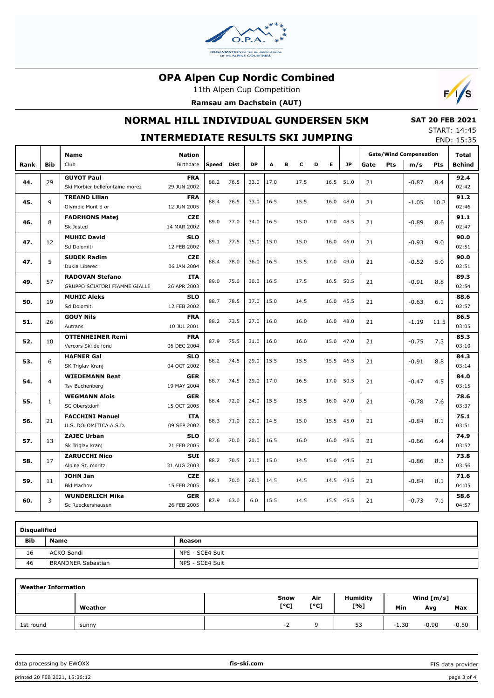

11th Alpen Cup Competition

**Ramsau am Dachstein (AUT)**



## **NORMAL HILL INDIVIDUAL GUNDERSEN 5KM**

#### **SAT 20 FEB 2021** START: 14:45

|      | <b>INTERMEDIATE RESULTS SKI JUMPING</b> |                                                         |                            |            |      |           |      |   |      |   |      |           |      | JIANI . 17.7J<br>END: 15:35 |                                      |      |                        |
|------|-----------------------------------------|---------------------------------------------------------|----------------------------|------------|------|-----------|------|---|------|---|------|-----------|------|-----------------------------|--------------------------------------|------|------------------------|
| Rank | <b>Bib</b>                              | <b>Name</b><br>Club                                     | <b>Nation</b><br>Birthdate | Speed Dist |      | <b>DP</b> | A    | в | c    | D | E.   | <b>JP</b> | Gate | Pts                         | <b>Gate/Wind Compensation</b><br>m/s | Pts  | Total<br><b>Behind</b> |
| 44.  | 29                                      | <b>GUYOT Paul</b><br>Ski Morbier bellefontaine morez    | <b>FRA</b><br>29 JUN 2002  | 88.2       | 76.5 | 33.0      | 17.0 |   | 17.5 |   | 16.5 | 51.0      | 21   |                             | $-0.87$                              | 8.4  | 92.4<br>02:42          |
| 45.  | 9                                       | <b>TREAND Lilian</b><br>Olympic Mont d or               | <b>FRA</b><br>12 JUN 2005  | 88.4       | 76.5 | 33.0      | 16.5 |   | 15.5 |   | 16.0 | 48.0      | 21   |                             | $-1.05$                              | 10.2 | 91.2<br>02:46          |
| 46.  | 8                                       | <b>FADRHONS Matej</b><br>Sk Jested                      | <b>CZE</b><br>14 MAR 2002  | 89.0       | 77.0 | 34.0      | 16.5 |   | 15.0 |   | 17.0 | 48.5      | 21   |                             | $-0.89$                              | 8.6  | 91.1<br>02:47          |
| 47.  | 12                                      | <b>MUHIC David</b><br>Sd Dolomiti                       | <b>SLO</b><br>12 FEB 2002  | 89.1       | 77.5 | 35.0      | 15.0 |   | 15.0 |   | 16.0 | 46.0      | 21   |                             | $-0.93$                              | 9.0  | 90.0<br>02:51          |
| 47.  | 5                                       | <b>SUDEK Radim</b><br>Dukla Liberec                     | <b>CZE</b><br>06 JAN 2004  | 88.4       | 78.0 | 36.0      | 16.5 |   | 15.5 |   | 17.0 | 49.0      | 21   |                             | $-0.52$                              | 5.0  | 90.0<br>02:51          |
| 49.  | 57                                      | <b>RADOVAN Stefano</b><br>GRUPPO SCIATORI FIAMME GIALLE | <b>ITA</b><br>26 APR 2003  | 89.0       | 75.0 | 30.0      | 16.5 |   | 17.5 |   | 16.5 | 50.5      | 21   |                             | $-0.91$                              | 8.8  | 89.3<br>02:54          |
| 50.  | 19                                      | <b>MUHIC Aleks</b><br>Sd Dolomiti                       | <b>SLO</b><br>12 FEB 2002  | 88.7       | 78.5 | 37.0      | 15.0 |   | 14.5 |   | 16.0 | 45.5      | 21   |                             | $-0.63$                              | 6.1  | 88.6<br>02:57          |
| 51.  | 26                                      | <b>GOUY Nils</b><br>Autrans                             | <b>FRA</b><br>10 JUL 2001  | 88.2       | 73.5 | 27.0      | 16.0 |   | 16.0 |   | 16.0 | 48.0      | 21   |                             | $-1.19$                              | 11.5 | 86.5<br>03:05          |
| 52.  | 10                                      | <b>OTTENHEIMER Remi</b><br>Vercors Ski de fond          | <b>FRA</b><br>06 DEC 2004  | 87.9       | 75.5 | 31.0      | 16.0 |   | 16.0 |   | 15.0 | 47.0      | 21   |                             | $-0.75$                              | 7.3  | 85.3<br>03:10          |
| 53.  | 6                                       | <b>HAFNER Gal</b><br>SK Triglav Kranj                   | <b>SLO</b><br>04 OCT 2002  | 88.2       | 74.5 | 29.0      | 15.5 |   | 15.5 |   | 15.5 | 46.5      | 21   |                             | $-0.91$                              | 8.8  | 84.3<br>03:14          |
| 54.  | 4                                       | <b>WIEDEMANN Beat</b><br>Tsv Buchenberg                 | <b>GER</b><br>19 MAY 2004  | 88.7       | 74.5 | 29.0      | 17.0 |   | 16.5 |   | 17.0 | 50.5      | 21   |                             | $-0.47$                              | 4.5  | 84.0<br>03:15          |
| 55.  | $\mathbf{1}$                            | <b>WEGMANN Alois</b><br>SC Oberstdorf                   | <b>GER</b><br>15 OCT 2005  | 88.4       | 72.0 | 24.0      | 15.5 |   | 15.5 |   | 16.0 | 47.0      | 21   |                             | $-0.78$                              | 7.6  | 78.6<br>03:37          |
| 56.  | 21                                      | <b>FACCHINI Manuel</b><br>U.S. DOLOMITICA A.S.D.        | <b>ITA</b><br>09 SEP 2002  | 88.3       | 71.0 | 22.0      | 14.5 |   | 15.0 |   | 15.5 | 45.0      | 21   |                             | $-0.84$                              | 8.1  | 75.1<br>03:51          |
| 57.  | 13                                      | <b>ZAJEC Urban</b><br>Sk Triglav kranj                  | <b>SLO</b><br>21 FEB 2005  | 87.6       | 70.0 | 20.0      | 16.5 |   | 16.0 |   | 16.0 | 48.5      | 21   |                             | $-0.66$                              | 6.4  | 74.9<br>03:52          |
| 58.  | 17                                      | <b>ZARUCCHI Nico</b><br>Alpina St. moritz               | <b>SUI</b><br>31 AUG 2003  | 88.2       | 70.5 | 21.0      | 15.0 |   | 14.5 |   | 15.0 | 44.5      | 21   |                             | $-0.86$                              | 8.3  | 73.8<br>03:56          |
| 59.  | 11                                      | <b>JOHN Jan</b><br><b>Bkl Machov</b>                    | <b>CZE</b><br>15 FEB 2005  | 88.1       | 70.0 | 20.0      | 14.5 |   | 14.5 |   | 14.5 | 43.5      | 21   |                             | $-0.84$                              | 8.1  | 71.6<br>04:05          |
| 60.  | 3                                       | <b>WUNDERLICH Mika</b><br>Sc Rueckershausen             | <b>GER</b><br>26 FEB 2005  | 87.9       | 63.0 | 6.0       | 15.5 |   | 14.5 |   | 15.5 | 45.5      | 21   |                             | $-0.73$                              | 7.1  | 58.6<br>04:57          |

| <b>Disqualified</b> |                           |                 |  |  |  |  |  |  |  |  |  |
|---------------------|---------------------------|-----------------|--|--|--|--|--|--|--|--|--|
| <b>Bib</b>          | <b>Name</b>               | Reason          |  |  |  |  |  |  |  |  |  |
| 16                  | ACKO Sandi                | NPS - SCE4 Suit |  |  |  |  |  |  |  |  |  |
| 46                  | <b>BRANDNER Sebastian</b> | NPS - SCE4 Suit |  |  |  |  |  |  |  |  |  |

| <b>Weather Information</b> |         |      |      |          |              |         |         |  |  |  |  |  |
|----------------------------|---------|------|------|----------|--------------|---------|---------|--|--|--|--|--|
|                            |         | Snow | Air  | Humidity | Wind $[m/s]$ |         |         |  |  |  |  |  |
|                            | Weather | [°C] | [°C] | [%]      | Min          | Avg     | Max     |  |  |  |  |  |
| 1st round                  | sunny   | $-$  |      | 53       | $-1.30$      | $-0.90$ | $-0.50$ |  |  |  |  |  |

data processing by EWOXX **fis-ski.com**

FIS data provider